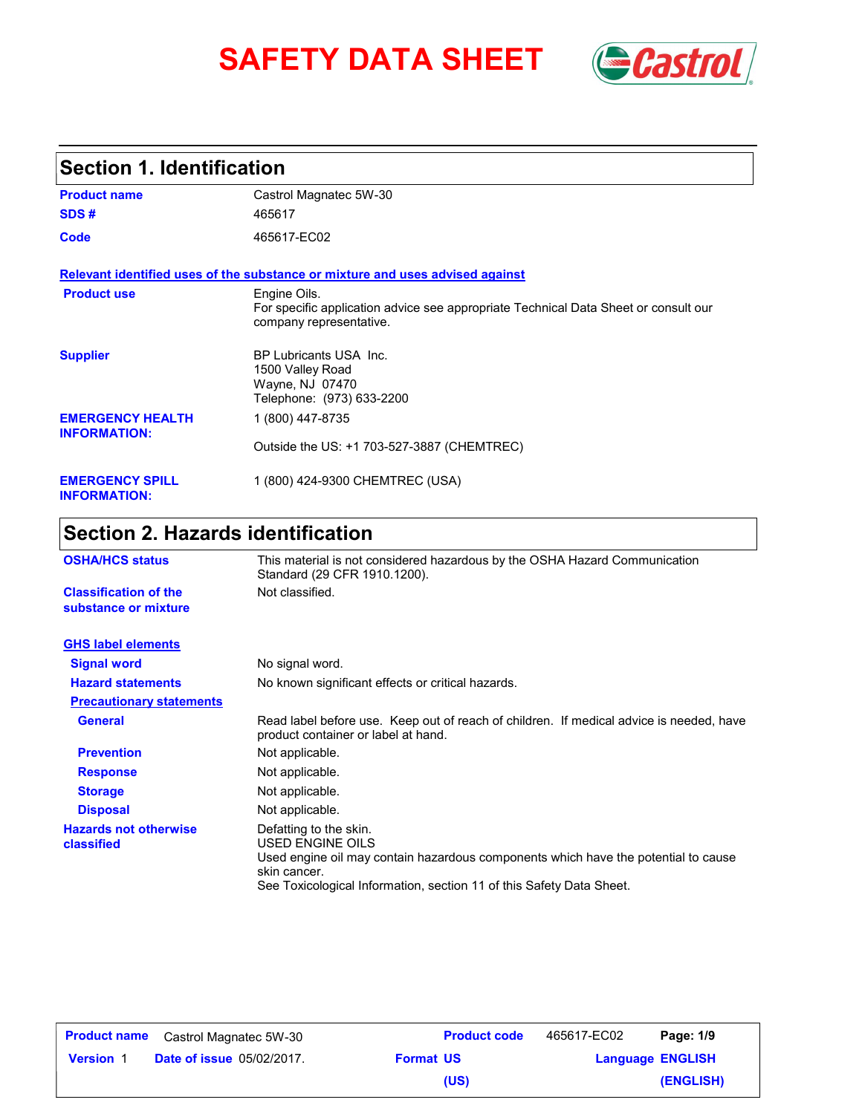# SAFETY DATA SHEET **Gastrol**



### **Section 1. Identification**

| <b>Product name</b>                            | Castrol Magnatec 5W-30                                                                                                         |
|------------------------------------------------|--------------------------------------------------------------------------------------------------------------------------------|
| SDS#                                           | 465617                                                                                                                         |
| Code                                           | 465617-EC02                                                                                                                    |
|                                                | Relevant identified uses of the substance or mixture and uses advised against                                                  |
| <b>Product use</b>                             | Engine Oils.<br>For specific application advice see appropriate Technical Data Sheet or consult our<br>company representative. |
| <b>Supplier</b>                                | BP Lubricants USA Inc.<br>1500 Valley Road<br>Wayne, NJ 07470<br>Telephone: (973) 633-2200                                     |
| <b>EMERGENCY HEALTH</b><br><b>INFORMATION:</b> | 1 (800) 447-8735                                                                                                               |
|                                                | Outside the US: +1 703-527-3887 (CHEMTREC)                                                                                     |
| <b>EMERGENCY SPILL</b><br><b>INFORMATION:</b>  | 1 (800) 424-9300 CHEMTREC (USA)                                                                                                |

## **Section 2. Hazards identification**

| <b>OSHA/HCS status</b>                               | This material is not considered hazardous by the OSHA Hazard Communication<br>Standard (29 CFR 1910.1200).                                                                                                               |  |  |
|------------------------------------------------------|--------------------------------------------------------------------------------------------------------------------------------------------------------------------------------------------------------------------------|--|--|
| <b>Classification of the</b><br>substance or mixture | Not classified.                                                                                                                                                                                                          |  |  |
| <b>GHS label elements</b>                            |                                                                                                                                                                                                                          |  |  |
| <b>Signal word</b>                                   | No signal word.                                                                                                                                                                                                          |  |  |
| <b>Hazard statements</b>                             | No known significant effects or critical hazards.                                                                                                                                                                        |  |  |
| <b>Precautionary statements</b>                      |                                                                                                                                                                                                                          |  |  |
| <b>General</b>                                       | Read label before use. Keep out of reach of children. If medical advice is needed, have<br>product container or label at hand.                                                                                           |  |  |
| <b>Prevention</b>                                    | Not applicable.                                                                                                                                                                                                          |  |  |
| <b>Response</b>                                      | Not applicable.                                                                                                                                                                                                          |  |  |
| <b>Storage</b>                                       | Not applicable.                                                                                                                                                                                                          |  |  |
| <b>Disposal</b>                                      | Not applicable.                                                                                                                                                                                                          |  |  |
| <b>Hazards not otherwise</b><br>classified           | Defatting to the skin.<br>USED ENGINE OILS<br>Used engine oil may contain hazardous components which have the potential to cause<br>skin cancer.<br>See Toxicological Information, section 11 of this Safety Data Sheet. |  |  |

| <b>Product name</b> | Castrol Magnatec 5W-30           |                  | <b>Product code</b> | 465617-EC02             | Page: 1/9 |
|---------------------|----------------------------------|------------------|---------------------|-------------------------|-----------|
| <b>Version 1</b>    | <b>Date of issue 05/02/2017.</b> | <b>Format US</b> |                     | <b>Language ENGLISH</b> |           |
|                     |                                  |                  | (US)                |                         | (ENGLISH) |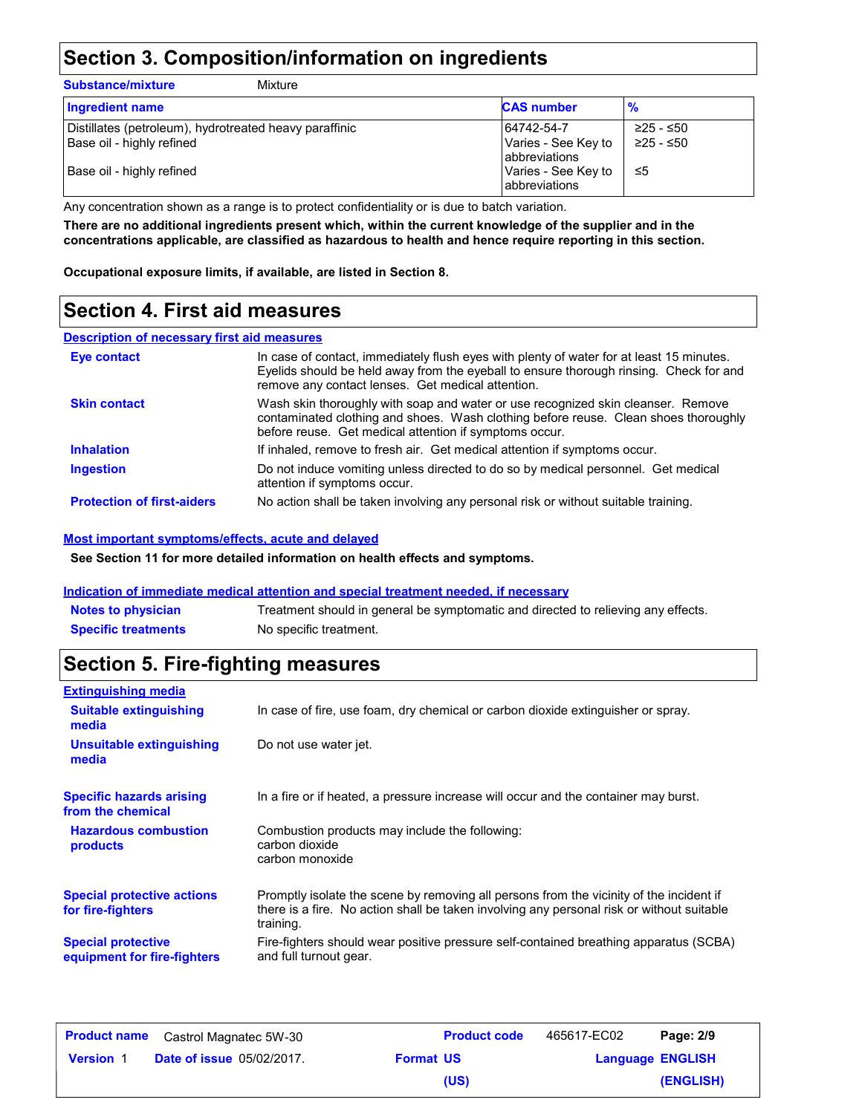### **Section 3. Composition/information on ingredients**

| <b>Substance/mixture</b><br>Mixture                                                                              |                                                                                                   |                              |
|------------------------------------------------------------------------------------------------------------------|---------------------------------------------------------------------------------------------------|------------------------------|
| <b>Ingredient name</b>                                                                                           | <b>CAS number</b>                                                                                 | $\frac{9}{6}$                |
| Distillates (petroleum), hydrotreated heavy paraffinic<br>Base oil - highly refined<br>Base oil - highly refined | 64742-54-7<br>Varies - See Key to<br><b>abbreviations</b><br>Varies - See Key to<br>abbreviations | ≥25 - ≤50<br>≥25 - ≤50<br>≤5 |

Any concentration shown as a range is to protect confidentiality or is due to batch variation.

**There are no additional ingredients present which, within the current knowledge of the supplier and in the concentrations applicable, are classified as hazardous to health and hence require reporting in this section.**

**Occupational exposure limits, if available, are listed in Section 8.**

### **Section 4. First aid measures**

#### **Description of necessary first aid measures**

| <b>Eye contact</b>                | In case of contact, immediately flush eyes with plenty of water for at least 15 minutes.<br>Eyelids should be held away from the eyeball to ensure thorough rinsing. Check for and<br>remove any contact lenses. Get medical attention. |
|-----------------------------------|-----------------------------------------------------------------------------------------------------------------------------------------------------------------------------------------------------------------------------------------|
| <b>Skin contact</b>               | Wash skin thoroughly with soap and water or use recognized skin cleanser. Remove<br>contaminated clothing and shoes. Wash clothing before reuse. Clean shoes thoroughly<br>before reuse. Get medical attention if symptoms occur.       |
| <b>Inhalation</b>                 | If inhaled, remove to fresh air. Get medical attention if symptoms occur.                                                                                                                                                               |
| <b>Ingestion</b>                  | Do not induce vomiting unless directed to do so by medical personnel. Get medical<br>attention if symptoms occur.                                                                                                                       |
| <b>Protection of first-aiders</b> | No action shall be taken involving any personal risk or without suitable training.                                                                                                                                                      |

#### **Most important symptoms/effects, acute and delayed**

**See Section 11 for more detailed information on health effects and symptoms.**

#### **Indication of immediate medical attention and special treatment needed, if necessary**

| <b>Notes to physician</b>  | Treatment should in general be symptomatic and directed to relieving any effects. |
|----------------------------|-----------------------------------------------------------------------------------|
| <b>Specific treatments</b> | No specific treatment.                                                            |

### **Section 5. Fire-fighting measures**

| <b>Extinguishing media</b>                               |                                                                                                                                                                                                   |
|----------------------------------------------------------|---------------------------------------------------------------------------------------------------------------------------------------------------------------------------------------------------|
| <b>Suitable extinguishing</b><br>media                   | In case of fire, use foam, dry chemical or carbon dioxide extinguisher or spray.                                                                                                                  |
| Unsuitable extinguishing<br>media                        | Do not use water jet.                                                                                                                                                                             |
| <b>Specific hazards arising</b><br>from the chemical     | In a fire or if heated, a pressure increase will occur and the container may burst.                                                                                                               |
| <b>Hazardous combustion</b><br>products                  | Combustion products may include the following:<br>carbon dioxide<br>carbon monoxide                                                                                                               |
| <b>Special protective actions</b><br>for fire-fighters   | Promptly isolate the scene by removing all persons from the vicinity of the incident if<br>there is a fire. No action shall be taken involving any personal risk or without suitable<br>training. |
| <b>Special protective</b><br>equipment for fire-fighters | Fire-fighters should wear positive pressure self-contained breathing apparatus (SCBA)<br>and full turnout gear.                                                                                   |

|                  | <b>Product name</b> Castrol Magnatec 5W-30 |                  | <b>Product code</b> | 465617-EC02 | Page: 2/9               |
|------------------|--------------------------------------------|------------------|---------------------|-------------|-------------------------|
| <b>Version 1</b> | <b>Date of issue 05/02/2017.</b>           | <b>Format US</b> |                     |             | <b>Language ENGLISH</b> |
|                  |                                            |                  | (US)                |             | (ENGLISH)               |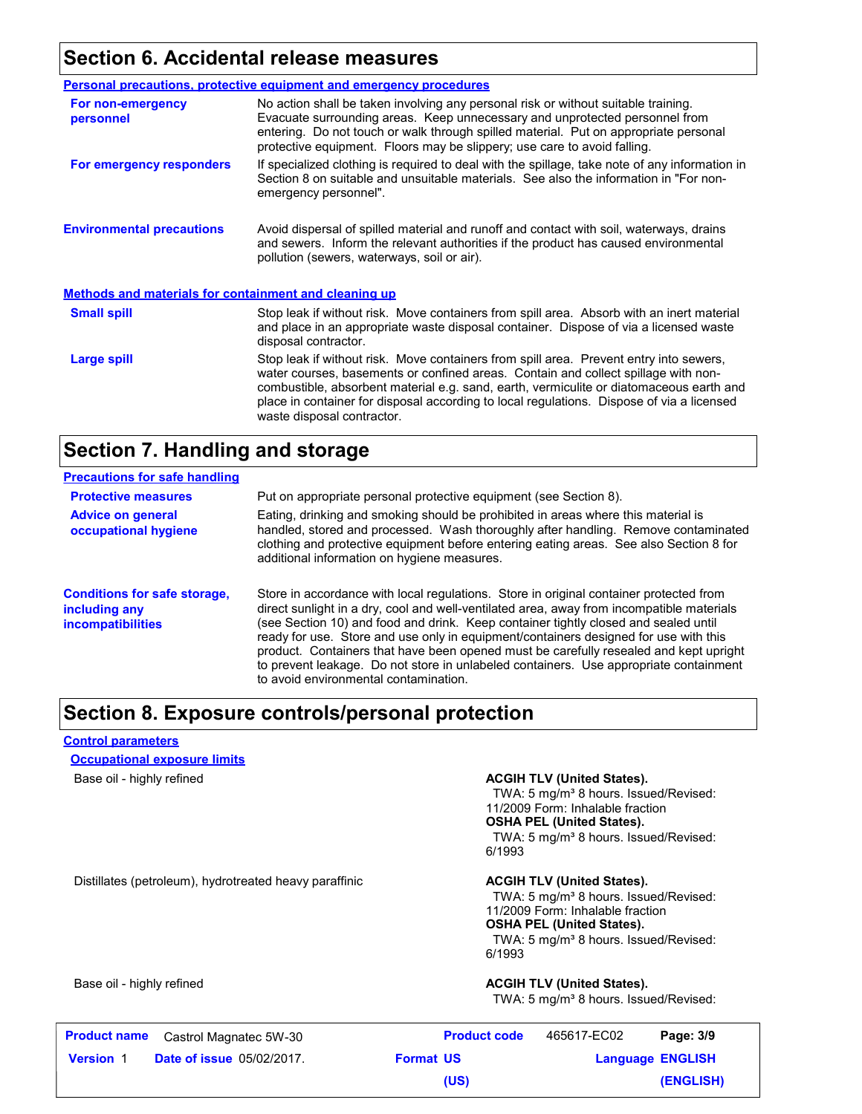### **Section 6. Accidental release measures**

|                                                              | Personal precautions, protective equipment and emergency procedures                                                                                                                                                                                                                                                                                                                                |  |  |
|--------------------------------------------------------------|----------------------------------------------------------------------------------------------------------------------------------------------------------------------------------------------------------------------------------------------------------------------------------------------------------------------------------------------------------------------------------------------------|--|--|
| For non-emergency<br>personnel                               | No action shall be taken involving any personal risk or without suitable training.<br>Evacuate surrounding areas. Keep unnecessary and unprotected personnel from<br>entering. Do not touch or walk through spilled material. Put on appropriate personal<br>protective equipment. Floors may be slippery; use care to avoid falling.                                                              |  |  |
| For emergency responders                                     | If specialized clothing is required to deal with the spillage, take note of any information in<br>Section 8 on suitable and unsuitable materials. See also the information in "For non-<br>emergency personnel".                                                                                                                                                                                   |  |  |
| <b>Environmental precautions</b>                             | Avoid dispersal of spilled material and runoff and contact with soil, waterways, drains<br>and sewers. Inform the relevant authorities if the product has caused environmental<br>pollution (sewers, waterways, soil or air).                                                                                                                                                                      |  |  |
| <b>Methods and materials for containment and cleaning up</b> |                                                                                                                                                                                                                                                                                                                                                                                                    |  |  |
| <b>Small spill</b>                                           | Stop leak if without risk. Move containers from spill area. Absorb with an inert material<br>and place in an appropriate waste disposal container. Dispose of via a licensed waste<br>disposal contractor.                                                                                                                                                                                         |  |  |
| Large spill                                                  | Stop leak if without risk. Move containers from spill area. Prevent entry into sewers,<br>water courses, basements or confined areas. Contain and collect spillage with non-<br>combustible, absorbent material e.g. sand, earth, vermiculite or diatomaceous earth and<br>place in container for disposal according to local regulations. Dispose of via a licensed<br>waste disposal contractor. |  |  |

#### **Section 7. Handling and storage**

| <b>Precautions for safe handling</b>                                             |                                                                                                                                                                                                                                                                                                                                                                                                                                                                                                                                                                                               |
|----------------------------------------------------------------------------------|-----------------------------------------------------------------------------------------------------------------------------------------------------------------------------------------------------------------------------------------------------------------------------------------------------------------------------------------------------------------------------------------------------------------------------------------------------------------------------------------------------------------------------------------------------------------------------------------------|
| <b>Protective measures</b>                                                       | Put on appropriate personal protective equipment (see Section 8).                                                                                                                                                                                                                                                                                                                                                                                                                                                                                                                             |
| <b>Advice on general</b><br>occupational hygiene                                 | Eating, drinking and smoking should be prohibited in areas where this material is<br>handled, stored and processed. Wash thoroughly after handling. Remove contaminated<br>clothing and protective equipment before entering eating areas. See also Section 8 for<br>additional information on hygiene measures.                                                                                                                                                                                                                                                                              |
| <b>Conditions for safe storage,</b><br>including any<br><i>incompatibilities</i> | Store in accordance with local regulations. Store in original container protected from<br>direct sunlight in a dry, cool and well-ventilated area, away from incompatible materials<br>(see Section 10) and food and drink. Keep container tightly closed and sealed until<br>ready for use. Store and use only in equipment/containers designed for use with this<br>product. Containers that have been opened must be carefully resealed and kept upright<br>to prevent leakage. Do not store in unlabeled containers. Use appropriate containment<br>to avoid environmental contamination. |

### **Section 8. Exposure controls/personal protection**

#### **Control parameters**

#### **Occupational exposure limits**

#### Base oil - highly refined **ACGIH TLV (United States). ACGIH TLV (United States).**

TWA: 5 mg/m<sup>3</sup> 8 hours. Issued/Revised: 11/2009 Form: Inhalable fraction **OSHA PEL (United States).** TWA: 5 mg/m<sup>3</sup> 8 hours. Issued/Revised: 6/1993

Distillates (petroleum), hydrotreated heavy paraffinic **ACGIH TLV (United States).** 

TWA: 5 mg/m<sup>3</sup> 8 hours. Issued/Revised: 11/2009 Form: Inhalable fraction **OSHA PEL (United States).** TWA: 5 mg/m<sup>3</sup> 8 hours. Issued/Revised: 6/1993

#### Base oil - highly refined **ACGIH TLV (United States). ACGIH TLV (United States).**

TWA: 5 mg/m<sup>3</sup> 8 hours. Issued/Revised:

|                  | <b>Product name</b> Castrol Magnatec 5W-30 |                  | <b>Product code</b> | 465617-EC02             | Page: 3/9 |
|------------------|--------------------------------------------|------------------|---------------------|-------------------------|-----------|
| <b>Version 1</b> | <b>Date of issue 05/02/2017.</b>           | <b>Format US</b> |                     | <b>Language ENGLISH</b> |           |
|                  |                                            |                  | (US)                |                         | (ENGLISH) |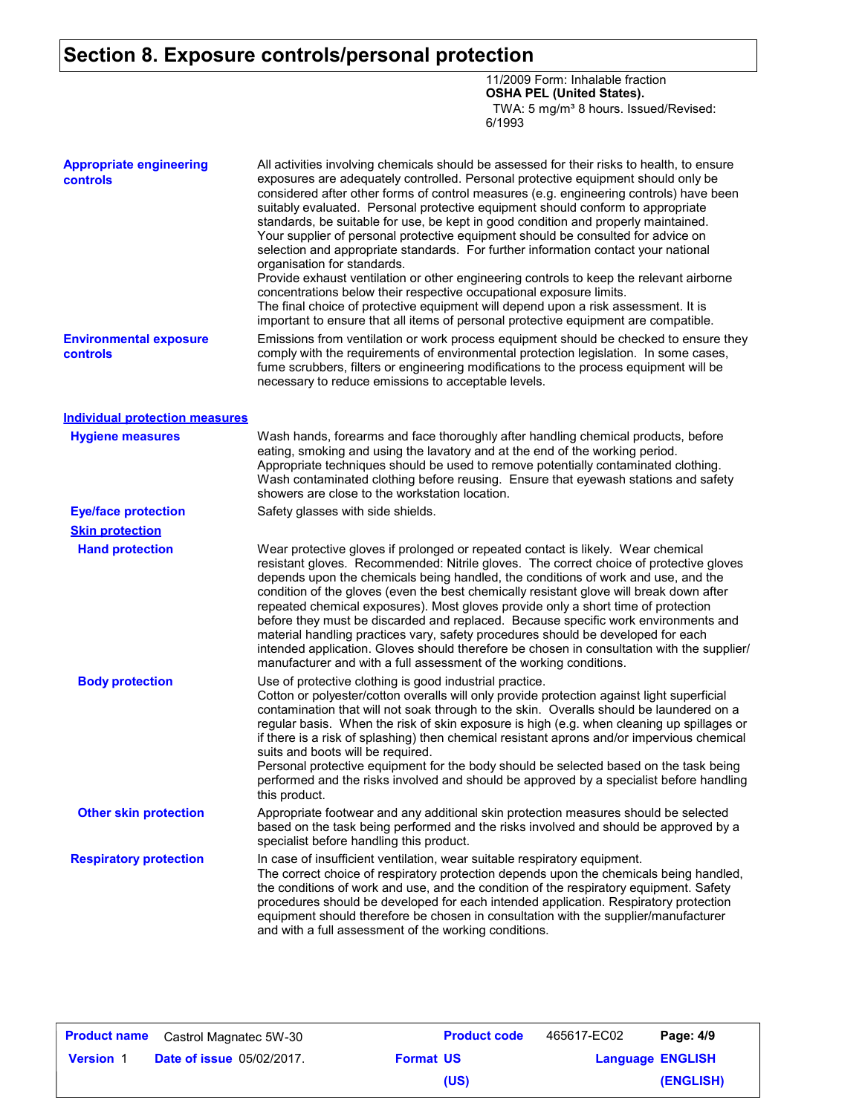### **Section 8. Exposure controls/personal protection**

11/2009 Form: Inhalable fraction **OSHA PEL (United States).** TWA: 5 mg/m<sup>3</sup> 8 hours. Issued/Revised: 6/1993

| <b>Appropriate engineering</b><br>controls | All activities involving chemicals should be assessed for their risks to health, to ensure<br>exposures are adequately controlled. Personal protective equipment should only be<br>considered after other forms of control measures (e.g. engineering controls) have been<br>suitably evaluated. Personal protective equipment should conform to appropriate<br>standards, be suitable for use, be kept in good condition and properly maintained.<br>Your supplier of personal protective equipment should be consulted for advice on<br>selection and appropriate standards. For further information contact your national<br>organisation for standards.<br>Provide exhaust ventilation or other engineering controls to keep the relevant airborne<br>concentrations below their respective occupational exposure limits. |
|--------------------------------------------|-------------------------------------------------------------------------------------------------------------------------------------------------------------------------------------------------------------------------------------------------------------------------------------------------------------------------------------------------------------------------------------------------------------------------------------------------------------------------------------------------------------------------------------------------------------------------------------------------------------------------------------------------------------------------------------------------------------------------------------------------------------------------------------------------------------------------------|
|                                            | The final choice of protective equipment will depend upon a risk assessment. It is<br>important to ensure that all items of personal protective equipment are compatible.                                                                                                                                                                                                                                                                                                                                                                                                                                                                                                                                                                                                                                                     |
| <b>Environmental exposure</b><br>controls  | Emissions from ventilation or work process equipment should be checked to ensure they<br>comply with the requirements of environmental protection legislation. In some cases,<br>fume scrubbers, filters or engineering modifications to the process equipment will be<br>necessary to reduce emissions to acceptable levels.                                                                                                                                                                                                                                                                                                                                                                                                                                                                                                 |
| <b>Individual protection measures</b>      |                                                                                                                                                                                                                                                                                                                                                                                                                                                                                                                                                                                                                                                                                                                                                                                                                               |
| <b>Hygiene measures</b>                    | Wash hands, forearms and face thoroughly after handling chemical products, before<br>eating, smoking and using the lavatory and at the end of the working period.<br>Appropriate techniques should be used to remove potentially contaminated clothing.<br>Wash contaminated clothing before reusing. Ensure that eyewash stations and safety<br>showers are close to the workstation location.                                                                                                                                                                                                                                                                                                                                                                                                                               |
| <b>Eye/face protection</b>                 | Safety glasses with side shields.                                                                                                                                                                                                                                                                                                                                                                                                                                                                                                                                                                                                                                                                                                                                                                                             |
| <b>Skin protection</b>                     |                                                                                                                                                                                                                                                                                                                                                                                                                                                                                                                                                                                                                                                                                                                                                                                                                               |
| <b>Hand protection</b>                     | Wear protective gloves if prolonged or repeated contact is likely. Wear chemical<br>resistant gloves. Recommended: Nitrile gloves. The correct choice of protective gloves<br>depends upon the chemicals being handled, the conditions of work and use, and the<br>condition of the gloves (even the best chemically resistant glove will break down after<br>repeated chemical exposures). Most gloves provide only a short time of protection<br>before they must be discarded and replaced. Because specific work environments and<br>material handling practices vary, safety procedures should be developed for each<br>intended application. Gloves should therefore be chosen in consultation with the supplier/<br>manufacturer and with a full assessment of the working conditions.                                 |
| <b>Body protection</b>                     | Use of protective clothing is good industrial practice.<br>Cotton or polyester/cotton overalls will only provide protection against light superficial<br>contamination that will not soak through to the skin. Overalls should be laundered on a<br>regular basis. When the risk of skin exposure is high (e.g. when cleaning up spillages or<br>if there is a risk of splashing) then chemical resistant aprons and/or impervious chemical<br>suits and boots will be required.<br>Personal protective equipment for the body should be selected based on the task being<br>performed and the risks involved and should be approved by a specialist before handling<br>this product.                                                                                                                                         |
| <b>Other skin protection</b>               | Appropriate footwear and any additional skin protection measures should be selected<br>based on the task being performed and the risks involved and should be approved by a<br>specialist before handling this product.                                                                                                                                                                                                                                                                                                                                                                                                                                                                                                                                                                                                       |
| <b>Respiratory protection</b>              | In case of insufficient ventilation, wear suitable respiratory equipment.<br>The correct choice of respiratory protection depends upon the chemicals being handled,<br>the conditions of work and use, and the condition of the respiratory equipment. Safety<br>procedures should be developed for each intended application. Respiratory protection<br>equipment should therefore be chosen in consultation with the supplier/manufacturer<br>and with a full assessment of the working conditions.                                                                                                                                                                                                                                                                                                                         |

| <b>Product name</b> | Castrol Magnatec 5W-30           |                  | <b>Product code</b> | 465617-EC02             | Page: 4/9 |
|---------------------|----------------------------------|------------------|---------------------|-------------------------|-----------|
| <b>Version 1</b>    | <b>Date of issue 05/02/2017.</b> | <b>Format US</b> |                     | <b>Language ENGLISH</b> |           |
|                     |                                  |                  | (US)                |                         | (ENGLISH) |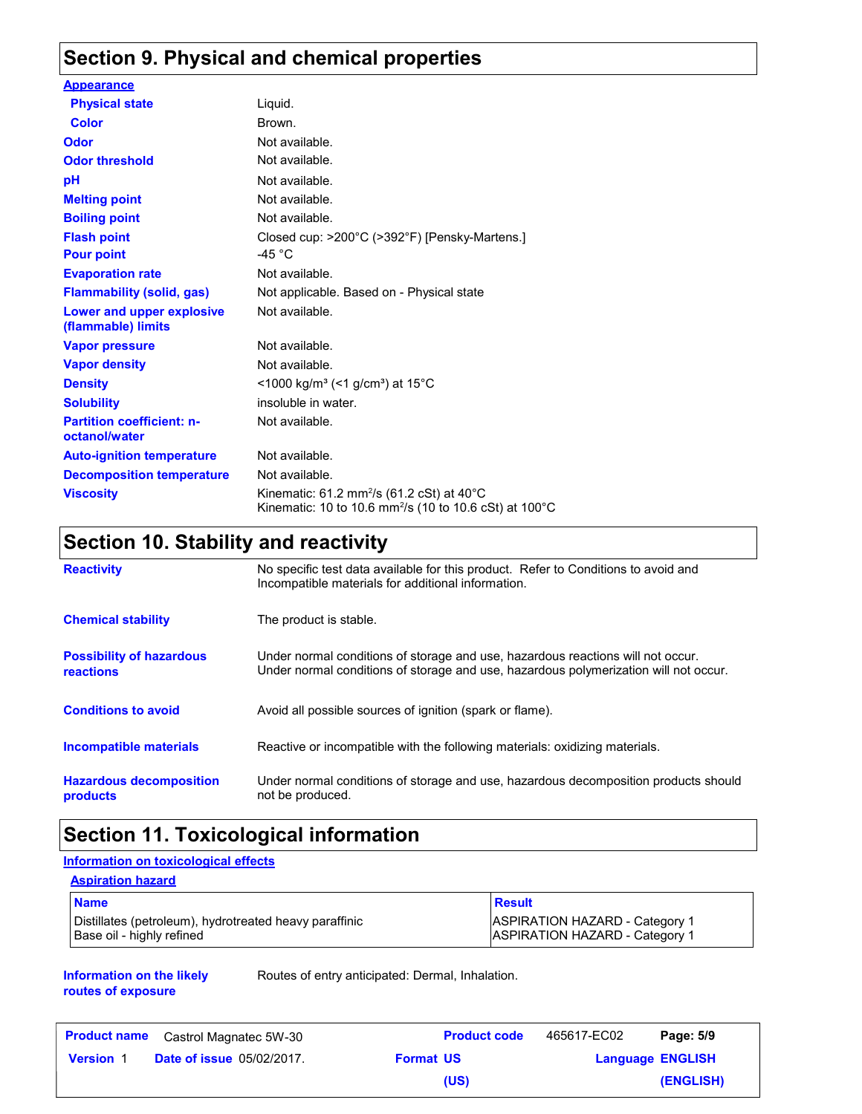### **Section 9. Physical and chemical properties**

| <b>Appearance</b>                                 |                                                                                                                                         |
|---------------------------------------------------|-----------------------------------------------------------------------------------------------------------------------------------------|
| <b>Physical state</b>                             | Liquid.                                                                                                                                 |
| Color                                             | Brown.                                                                                                                                  |
| <b>Odor</b>                                       | Not available.                                                                                                                          |
| <b>Odor threshold</b>                             | Not available.                                                                                                                          |
| рH                                                | Not available.                                                                                                                          |
| <b>Melting point</b>                              | Not available.                                                                                                                          |
| <b>Boiling point</b>                              | Not available.                                                                                                                          |
| <b>Flash point</b>                                | Closed cup: >200°C (>392°F) [Pensky-Martens.]                                                                                           |
| <b>Pour point</b>                                 | -45 °C                                                                                                                                  |
| <b>Evaporation rate</b>                           | Not available.                                                                                                                          |
| <b>Flammability (solid, gas)</b>                  | Not applicable. Based on - Physical state                                                                                               |
| Lower and upper explosive<br>(flammable) limits   | Not available.                                                                                                                          |
| <b>Vapor pressure</b>                             | Not available.                                                                                                                          |
| <b>Vapor density</b>                              | Not available.                                                                                                                          |
| <b>Density</b>                                    | $\leq$ 1000 kg/m <sup>3</sup> (<1 g/cm <sup>3</sup> ) at 15°C                                                                           |
| <b>Solubility</b>                                 | insoluble in water.                                                                                                                     |
| <b>Partition coefficient: n-</b><br>octanol/water | Not available.                                                                                                                          |
| <b>Auto-ignition temperature</b>                  | Not available.                                                                                                                          |
| <b>Decomposition temperature</b>                  | Not available.                                                                                                                          |
| <b>Viscosity</b>                                  | Kinematic: 61.2 mm <sup>2</sup> /s (61.2 cSt) at 40 $^{\circ}$ C<br>Kinematic: 10 to 10.6 mm <sup>2</sup> /s (10 to 10.6 cSt) at 100 °C |

### **Section 10. Stability and reactivity**

| <b>Reactivity</b>                            | No specific test data available for this product. Refer to Conditions to avoid and<br>Incompatible materials for additional information.                                |
|----------------------------------------------|-------------------------------------------------------------------------------------------------------------------------------------------------------------------------|
| <b>Chemical stability</b>                    | The product is stable.                                                                                                                                                  |
| <b>Possibility of hazardous</b><br>reactions | Under normal conditions of storage and use, hazardous reactions will not occur.<br>Under normal conditions of storage and use, hazardous polymerization will not occur. |
| <b>Conditions to avoid</b>                   | Avoid all possible sources of ignition (spark or flame).                                                                                                                |
| Incompatible materials                       | Reactive or incompatible with the following materials: oxidizing materials.                                                                                             |
| <b>Hazardous decomposition</b><br>products   | Under normal conditions of storage and use, hazardous decomposition products should<br>not be produced.                                                                 |

### **Section 11. Toxicological information**

#### **Information on toxicological effects**

| <b>Aspiration hazard</b>                                                            |                                                                                |
|-------------------------------------------------------------------------------------|--------------------------------------------------------------------------------|
| <b>Name</b>                                                                         | Result                                                                         |
| Distillates (petroleum), hydrotreated heavy paraffinic<br>Base oil - highly refined | <b>ASPIRATION HAZARD - Category 1</b><br><b>ASPIRATION HAZARD - Category 1</b> |

#### **Information on the likely routes of exposure**

Routes of entry anticipated: Dermal, Inhalation.

|                  | <b>Product name</b> Castrol Magnatec 5W-30 |                  | <b>Product code</b> | 465617-EC02             | Page: 5/9 |
|------------------|--------------------------------------------|------------------|---------------------|-------------------------|-----------|
| <b>Version</b> 1 | <b>Date of issue 05/02/2017.</b>           | <b>Format US</b> |                     | <b>Language ENGLISH</b> |           |
|                  |                                            |                  | (US)                |                         | (ENGLISH) |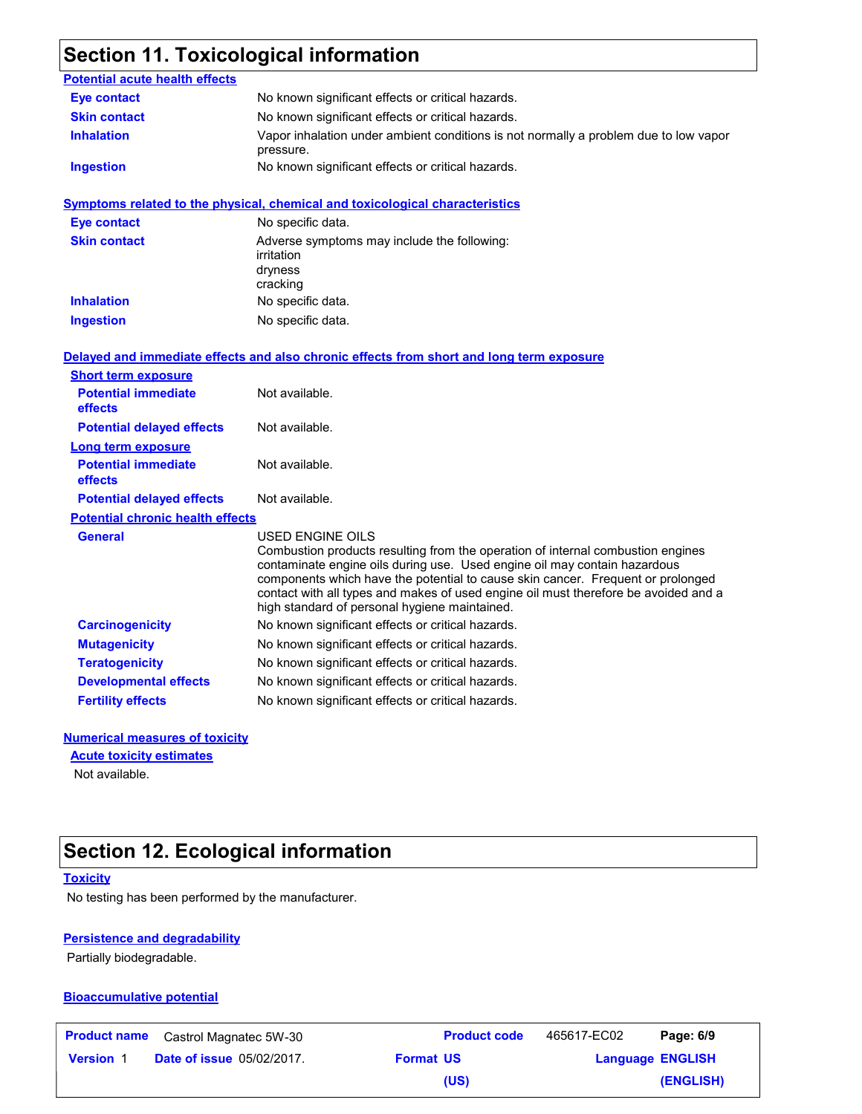## **Section 11. Toxicological information**

| <b>Potential acute health effects</b>   |                                                                                                                                                                                                                                                                                                                                                                                                             |
|-----------------------------------------|-------------------------------------------------------------------------------------------------------------------------------------------------------------------------------------------------------------------------------------------------------------------------------------------------------------------------------------------------------------------------------------------------------------|
| <b>Eye contact</b>                      | No known significant effects or critical hazards.                                                                                                                                                                                                                                                                                                                                                           |
| <b>Skin contact</b>                     | No known significant effects or critical hazards.                                                                                                                                                                                                                                                                                                                                                           |
| <b>Inhalation</b>                       | Vapor inhalation under ambient conditions is not normally a problem due to low vapor<br>pressure.                                                                                                                                                                                                                                                                                                           |
| <b>Ingestion</b>                        | No known significant effects or critical hazards.                                                                                                                                                                                                                                                                                                                                                           |
|                                         | <b>Symptoms related to the physical, chemical and toxicological characteristics</b>                                                                                                                                                                                                                                                                                                                         |
| <b>Eye contact</b>                      | No specific data.                                                                                                                                                                                                                                                                                                                                                                                           |
| <b>Skin contact</b>                     | Adverse symptoms may include the following:<br>irritation<br>dryness<br>cracking                                                                                                                                                                                                                                                                                                                            |
| <b>Inhalation</b>                       | No specific data.                                                                                                                                                                                                                                                                                                                                                                                           |
| <b>Ingestion</b>                        | No specific data.                                                                                                                                                                                                                                                                                                                                                                                           |
|                                         | Delayed and immediate effects and also chronic effects from short and long term exposure                                                                                                                                                                                                                                                                                                                    |
| <b>Short term exposure</b>              |                                                                                                                                                                                                                                                                                                                                                                                                             |
| <b>Potential immediate</b><br>effects   | Not available.                                                                                                                                                                                                                                                                                                                                                                                              |
| <b>Potential delayed effects</b>        | Not available.                                                                                                                                                                                                                                                                                                                                                                                              |
| Long term exposure                      |                                                                                                                                                                                                                                                                                                                                                                                                             |
| <b>Potential immediate</b><br>effects   | Not available.                                                                                                                                                                                                                                                                                                                                                                                              |
| <b>Potential delayed effects</b>        | Not available.                                                                                                                                                                                                                                                                                                                                                                                              |
| <b>Potential chronic health effects</b> |                                                                                                                                                                                                                                                                                                                                                                                                             |
| <b>General</b>                          | USED ENGINE OILS<br>Combustion products resulting from the operation of internal combustion engines<br>contaminate engine oils during use. Used engine oil may contain hazardous<br>components which have the potential to cause skin cancer. Frequent or prolonged<br>contact with all types and makes of used engine oil must therefore be avoided and a<br>high standard of personal hygiene maintained. |
| <b>Carcinogenicity</b>                  | No known significant effects or critical hazards.                                                                                                                                                                                                                                                                                                                                                           |
| <b>Mutagenicity</b>                     | No known significant effects or critical hazards.                                                                                                                                                                                                                                                                                                                                                           |
| <b>Teratogenicity</b>                   | No known significant effects or critical hazards.                                                                                                                                                                                                                                                                                                                                                           |
| <b>Developmental effects</b>            | No known significant effects or critical hazards.                                                                                                                                                                                                                                                                                                                                                           |
| <b>Fertility effects</b>                | No known significant effects or critical hazards.                                                                                                                                                                                                                                                                                                                                                           |

#### **Numerical measures of toxicity**

**Acute toxicity estimates**

Not available.

### **Section 12. Ecological information**

#### **Toxicity**

No testing has been performed by the manufacturer.

#### **Persistence and degradability**

Partially biodegradable.

#### **Bioaccumulative potential**

| <b>Product name</b> | Castrol Magnatec 5W-30           |                  | <b>Product code</b> | 465617-EC02             | Page: 6/9 |
|---------------------|----------------------------------|------------------|---------------------|-------------------------|-----------|
| <b>Version 1</b>    | <b>Date of issue 05/02/2017.</b> | <b>Format US</b> |                     | <b>Language ENGLISH</b> |           |
|                     |                                  |                  | (US)                |                         | (ENGLISH) |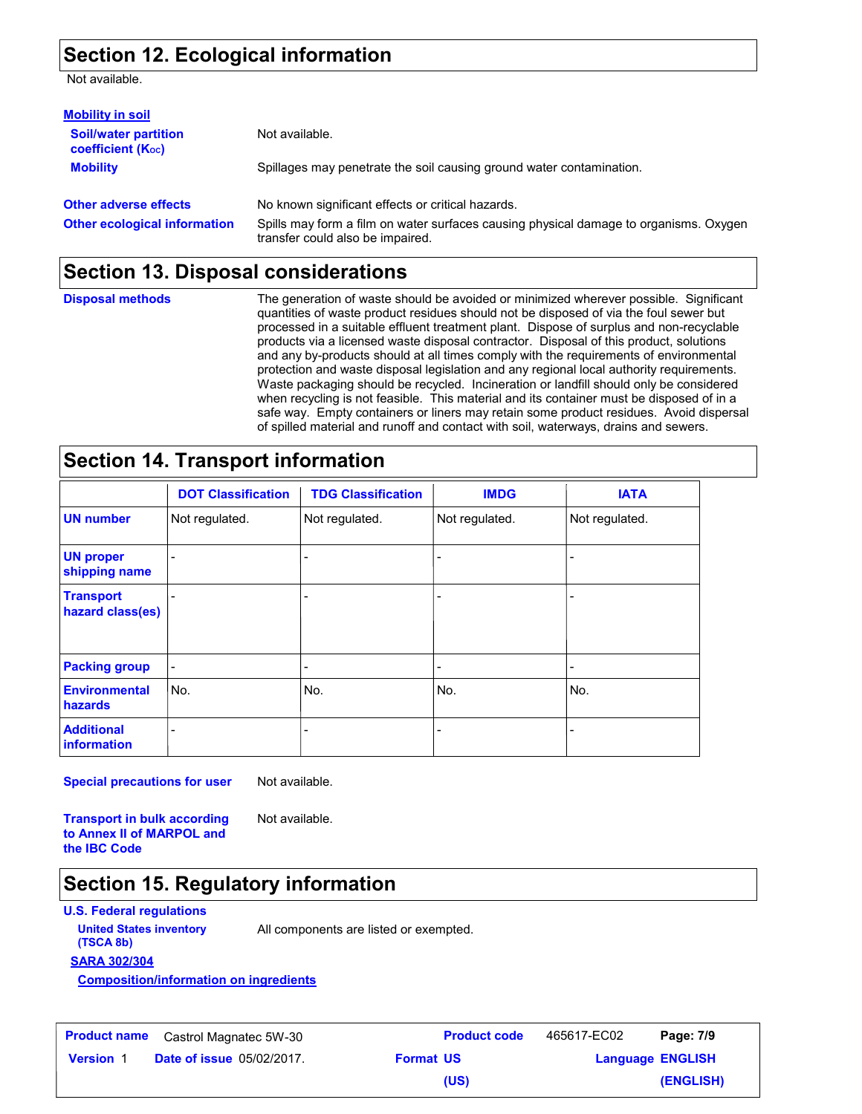#### **Section 12. Ecological information**

Not available.

| <b>Mobility in soil</b>                                 |                                                                                                                           |
|---------------------------------------------------------|---------------------------------------------------------------------------------------------------------------------------|
| <b>Soil/water partition</b><br><b>coefficient (Koc)</b> | Not available.                                                                                                            |
| <b>Mobility</b>                                         | Spillages may penetrate the soil causing ground water contamination.                                                      |
| <b>Other adverse effects</b>                            | No known significant effects or critical hazards.                                                                         |
| <b>Other ecological information</b>                     | Spills may form a film on water surfaces causing physical damage to organisms. Oxygen<br>transfer could also be impaired. |

#### **Section 13. Disposal considerations**

**Disposal methods**

The generation of waste should be avoided or minimized wherever possible. Significant quantities of waste product residues should not be disposed of via the foul sewer but processed in a suitable effluent treatment plant. Dispose of surplus and non-recyclable products via a licensed waste disposal contractor. Disposal of this product, solutions and any by-products should at all times comply with the requirements of environmental protection and waste disposal legislation and any regional local authority requirements. Waste packaging should be recycled. Incineration or landfill should only be considered when recycling is not feasible. This material and its container must be disposed of in a safe way. Empty containers or liners may retain some product residues. Avoid dispersal of spilled material and runoff and contact with soil, waterways, drains and sewers.

### **Section 14. Transport information**

|                                      | <b>DOT Classification</b> | <b>TDG Classification</b> | <b>IMDG</b>    | <b>IATA</b>    |
|--------------------------------------|---------------------------|---------------------------|----------------|----------------|
| <b>UN number</b>                     | Not regulated.            | Not regulated.            | Not regulated. | Not regulated. |
| <b>UN proper</b><br>shipping name    |                           |                           |                |                |
| <b>Transport</b><br>hazard class(es) |                           |                           |                | ۰              |
| <b>Packing group</b>                 |                           |                           |                |                |
| <b>Environmental</b><br>hazards      | No.                       | No.                       | No.            | No.            |
| <b>Additional</b><br>information     |                           |                           |                |                |

**Special precautions for user**

Not available.

**Transport in bulk according to Annex II of MARPOL and the IBC Code**

Not available.

### **Section 15. Regulatory information**

**U.S. Federal regulations**

**(TSCA 8b)**

**United States inventory** All components are listed or exempted.

**SARA 302/304**

**Composition/information on ingredients**

| <b>Product name</b> | Castrol Magnatec 5W-30           |
|---------------------|----------------------------------|
| <b>Version 1</b>    | <b>Date of issue 05/02/2017.</b> |

**Product name** Castrol Magnatec 5W-30 **Product code** 465617-EC02 **Page: 7/9 ENGLISH Version** 1 **Format US Language (ENGLISH)** 465617-EC02 **(US)**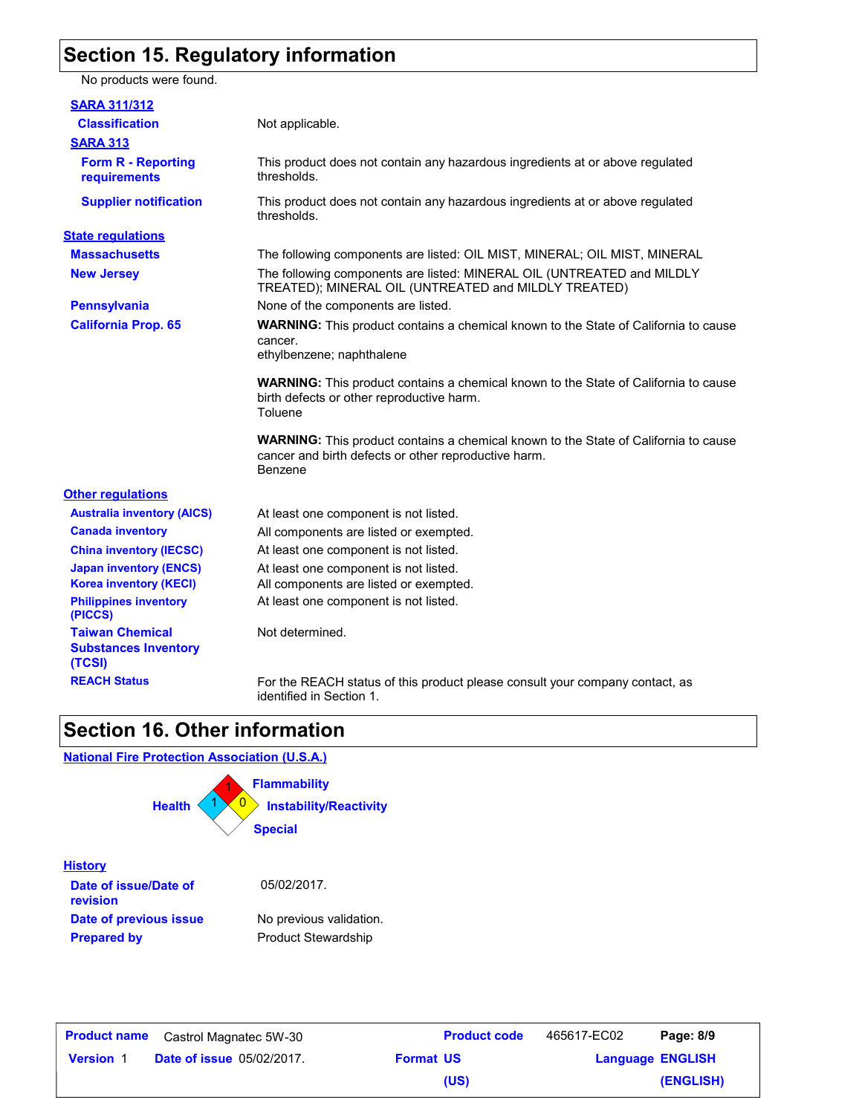### **Section 15. Regulatory information**

No products were found.

| <b>SARA 311/312</b>                                             |                                                                                                                                                               |
|-----------------------------------------------------------------|---------------------------------------------------------------------------------------------------------------------------------------------------------------|
| <b>Classification</b>                                           | Not applicable.                                                                                                                                               |
| <b>SARA 313</b>                                                 |                                                                                                                                                               |
| <b>Form R - Reporting</b><br><b>requirements</b>                | This product does not contain any hazardous ingredients at or above regulated<br>thresholds.                                                                  |
| <b>Supplier notification</b>                                    | This product does not contain any hazardous ingredients at or above regulated<br>thresholds.                                                                  |
| <b>State regulations</b>                                        |                                                                                                                                                               |
| <b>Massachusetts</b>                                            | The following components are listed: OIL MIST, MINERAL; OIL MIST, MINERAL                                                                                     |
| <b>New Jersey</b>                                               | The following components are listed: MINERAL OIL (UNTREATED and MILDLY<br>TREATED); MINERAL OIL (UNTREATED and MILDLY TREATED)                                |
| <b>Pennsylvania</b>                                             | None of the components are listed.                                                                                                                            |
| <b>California Prop. 65</b>                                      | <b>WARNING:</b> This product contains a chemical known to the State of California to cause<br>cancer.<br>ethylbenzene; naphthalene                            |
|                                                                 | <b>WARNING:</b> This product contains a chemical known to the State of California to cause<br>birth defects or other reproductive harm.<br>Toluene            |
|                                                                 | <b>WARNING:</b> This product contains a chemical known to the State of California to cause<br>cancer and birth defects or other reproductive harm.<br>Benzene |
| <b>Other regulations</b>                                        |                                                                                                                                                               |
| <b>Australia inventory (AICS)</b>                               | At least one component is not listed.                                                                                                                         |
| <b>Canada inventory</b>                                         | All components are listed or exempted.                                                                                                                        |
| <b>China inventory (IECSC)</b>                                  | At least one component is not listed.                                                                                                                         |
| <b>Japan inventory (ENCS)</b>                                   | At least one component is not listed.                                                                                                                         |
| <b>Korea inventory (KECI)</b>                                   | All components are listed or exempted.                                                                                                                        |
| <b>Philippines inventory</b><br>(PICCS)                         | At least one component is not listed.                                                                                                                         |
| <b>Taiwan Chemical</b><br><b>Substances Inventory</b><br>(TCSI) | Not determined.                                                                                                                                               |
| <b>REACH Status</b>                                             | For the REACH status of this product please consult your company contact, as<br>identified in Section 1.                                                      |

### **Section 16. Other information**

**National Fire Protection Association (U.S.A.)**



| <b>Product name</b> | Castrol Magnatec 5W-30           |                  | <b>Product code</b> | 465617-EC02             | Page: 8/9 |
|---------------------|----------------------------------|------------------|---------------------|-------------------------|-----------|
| <b>Version 1</b>    | <b>Date of issue 05/02/2017.</b> | <b>Format US</b> |                     | <b>Language ENGLISH</b> |           |
|                     |                                  |                  | (US)                |                         | (ENGLISH) |